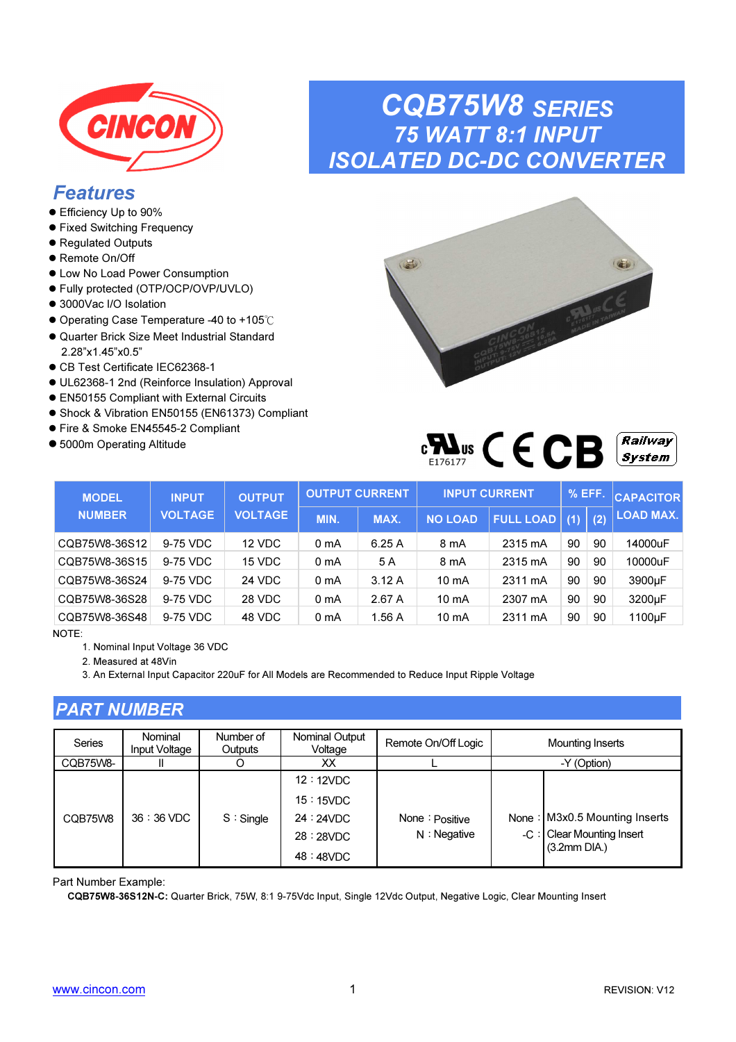

### Features

- Efficiency Up to 90%
- **•** Fixed Switching Frequency
- Regulated Outputs
- Remote On/Off
- Low No Load Power Consumption
- Fully protected (OTP/OCP/OVP/UVLO)
- 3000Vac I/O Isolation
- Operating Case Temperature -40 to +105℃
- Quarter Brick Size Meet Industrial Standard 2.28"x1.45"x0.5"
- CB Test Certificate IEC62368-1
- UL62368-1 2nd (Reinforce Insulation) Approval
- EN50155 Compliant with External Circuits
- Shock & Vibration EN50155 (EN61373) Compliant
- Fire & Smoke EN45545-2 Compliant
- 5000m Operating Altitude

### CQB75W8 SERIES 75 WATT 8:1 INPUT ISOLATED DC-DC CONVERTER



| WS<br>- 1<br>F176177 |  |  |  | <b>Railway</b><br>$S$ vstem $\parallel$ |
|----------------------|--|--|--|-----------------------------------------|
|----------------------|--|--|--|-----------------------------------------|

| <b>MODEL</b>  | <b>INPUT</b>   | <b>OUTPUT</b>  |                  | <b>OUTPUT CURRENT</b> |                 | <b>INPUT CURRENT</b> | $%$ EFF. |     | <b>CAPACITOR</b> |
|---------------|----------------|----------------|------------------|-----------------------|-----------------|----------------------|----------|-----|------------------|
| <b>NUMBER</b> | <b>VOLTAGE</b> | <b>VOLTAGE</b> | MIN.             | MAX.                  | <b>NO LOAD</b>  | <b>FULL LOAD</b>     | (1)      | (2) | <b>LOAD MAX.</b> |
| CQB75W8-36S12 | 9-75 VDC       | 12 VDC         | 0 mA             | 6.25A                 | 8 mA            | 2315 mA              | 90       | 90  | 14000uF          |
| CQB75W8-36S15 | 9-75 VDC       | 15 VDC         | 0 <sub>m</sub> A | 5 A                   | 8 mA            | 2315 mA              | 90       | 90  | 10000uF          |
| CQB75W8-36S24 | 9-75 VDC       | 24 VDC         | 0 <sub>m</sub> A | 3.12A                 | $10 \text{ mA}$ | 2311 mA              | 90       | 90  | 3900µF           |
| CQB75W8-36S28 | 9-75 VDC       | 28 VDC         | 0 mA             | 2.67A                 | 10 mA           | 2307 mA              | 90       | 90  | 3200µF           |
| CQB75W8-36S48 | 9-75 VDC       | 48 VDC         | 0 <sub>m</sub> A | 1.56 A                | 10 mA           | 2311 mA              | 90       | 90  | 1100µF           |

NOTE:

1. Nominal Input Voltage 36 VDC

2. Measured at 48Vin

3. An External Input Capacitor 220uF for All Models are Recommended to Reduce Input Ripple Voltage

### PART NUMBER

| Series   | Nominal<br>Input Voltage | Number of<br>Outputs | Nominal Output<br>Voltage                      | Remote On/Off Logic                 | Mounting Inserts                                           |
|----------|--------------------------|----------------------|------------------------------------------------|-------------------------------------|------------------------------------------------------------|
| CQB75W8- |                          |                      | XХ                                             |                                     | -Y (Option)                                                |
| CQB75W8  | $36:36$ VDC              | $S :$ Single         | 12:12VDC<br>15:15VDC<br>24:24VDC<br>28 : 28VDC | None $:$ Positive<br>$N :$ Negative | None: M3x0.5 Mounting Inserts<br>-C: Clear Mounting Insert |
|          |                          |                      | 48 : 48VDC                                     |                                     | $(3.2mm$ DIA.)                                             |

Part Number Example:

CQB75W8-36S12N-C: Quarter Brick, 75W, 8:1 9-75Vdc Input, Single 12Vdc Output, Negative Logic, Clear Mounting Insert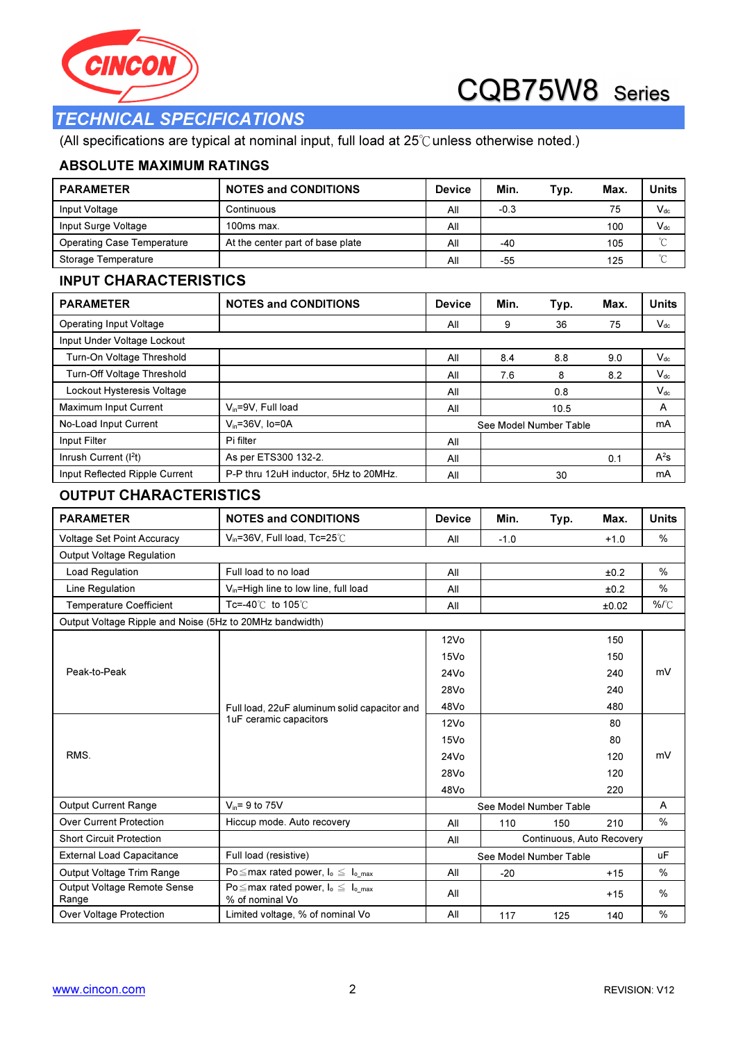



### TECHNICAL SPECIFICATIONS

(All specifications are typical at nominal input, full load at 25℃unless otherwise noted.)

#### ABSOLUTE MAXIMUM RATINGS

| <b>PARAMETER</b>                                         | <b>NOTES and CONDITIONS</b>                                        | <b>Device</b>    | Min.   | Typ.                      | Max.   | <b>Units</b>    |
|----------------------------------------------------------|--------------------------------------------------------------------|------------------|--------|---------------------------|--------|-----------------|
| Input Voltage                                            | Continuous                                                         | All              | $-0.3$ |                           | 75     | $V_{dc}$        |
| Input Surge Voltage                                      | 100ms max.                                                         | All              |        |                           | 100    | $V_{dc}$        |
| <b>Operating Case Temperature</b>                        | At the center part of base plate                                   | All              | -40    |                           | 105    | $\rm ^{\circ}C$ |
| Storage Temperature                                      |                                                                    | All              | -55    |                           | 125    | $^{\circ}\!C$   |
| <b>INPUT CHARACTERISTICS</b>                             |                                                                    |                  |        |                           |        |                 |
| <b>PARAMETER</b>                                         | <b>NOTES and CONDITIONS</b>                                        | <b>Device</b>    | Min.   | Typ.                      | Max.   | <b>Units</b>    |
| Operating Input Voltage                                  |                                                                    | All              | 9      | 36                        | 75     | $V_{dc}$        |
| Input Under Voltage Lockout                              |                                                                    |                  |        |                           |        |                 |
| Turn-On Voltage Threshold                                |                                                                    | All              | 8.4    | 8.8                       | 9.0    | $V_{dc}$        |
| Turn-Off Voltage Threshold                               |                                                                    | All              | 7.6    | 8                         | 8.2    | $V_{dc}$        |
| Lockout Hysteresis Voltage                               |                                                                    | All              |        | 0.8                       |        | $V_{dc}$        |
| Maximum Input Current                                    | $V_{in} = 9V$ , Full load                                          | All              |        | 10.5                      |        | Α               |
| No-Load Input Current                                    | $V_{in} = 36V$ , Io=0A                                             |                  |        | See Model Number Table    |        | mA              |
| Input Filter                                             | Pi filter                                                          | All              |        |                           |        |                 |
| Inrush Current (I <sup>2</sup> t)                        | As per ETS300 132-2.                                               | All              |        |                           | 0.1    | $A^2s$          |
| Input Reflected Ripple Current                           | P-P thru 12uH inductor, 5Hz to 20MHz.                              | All              |        | 30                        |        | mA              |
| <b>OUTPUT CHARACTERISTICS</b>                            |                                                                    |                  |        |                           |        |                 |
| <b>PARAMETER</b>                                         | <b>NOTES and CONDITIONS</b>                                        | <b>Device</b>    | Min.   | Typ.                      | Max.   | <b>Units</b>    |
| <b>Voltage Set Point Accuracy</b>                        | V <sub>in</sub> =36V, Full load, Tc=25°C                           | All              | $-1.0$ |                           | $+1.0$ | %               |
| <b>Output Voltage Regulation</b>                         |                                                                    |                  |        |                           |        |                 |
| Load Regulation                                          | Full load to no load                                               | All              |        |                           | ±0.2   | %               |
| Line Regulation                                          | $V_{in}$ =High line to low line, full load                         | All              |        |                           | ±0.2   | %               |
| <b>Temperature Coefficient</b>                           | Tc=-40℃ to 105℃                                                    | All              |        |                           | ±0.02  | %/°C            |
| Output Voltage Ripple and Noise (5Hz to 20MHz bandwidth) |                                                                    |                  |        |                           |        |                 |
|                                                          |                                                                    | 12V <sub>O</sub> |        |                           | 150    |                 |
|                                                          |                                                                    | 15Vo             |        |                           | 150    |                 |
| Peak-to-Peak                                             |                                                                    | 24Vo             |        |                           | 240    | mV              |
|                                                          |                                                                    | 28Vo             |        |                           | 240    |                 |
|                                                          | Full load, 22uF aluminum solid capacitor and                       | 48Vo             |        |                           | 480    |                 |
|                                                          | 1uF ceramic capacitors                                             | 12V <sub>O</sub> |        |                           | 80     |                 |
|                                                          |                                                                    | 15Vo             |        |                           | 80     |                 |
| RMS.                                                     |                                                                    | 24Vo             |        |                           | 120    | mV              |
|                                                          |                                                                    | 28Vo             |        |                           | 120    |                 |
|                                                          |                                                                    | 48Vo             |        |                           | 220    |                 |
| Output Current Range                                     | $V_{in}$ = 9 to 75V                                                |                  |        | See Model Number Table    |        | Α               |
| <b>Over Current Protection</b>                           | Hiccup mode. Auto recovery                                         | All              | 110    | 150                       | 210    | ℅               |
| <b>Short Circuit Protection</b>                          |                                                                    | All              |        | Continuous, Auto Recovery |        |                 |
| <b>External Load Capacitance</b>                         | Full load (resistive)                                              |                  |        | See Model Number Table    |        | uF              |
| Output Voltage Trim Range                                | Po $\leq$ max rated power, $I_o \leq I_o$ max                      | All              | $-20$  |                           | $+15$  | %               |
| Output Voltage Remote Sense<br>Range                     | Po $\leq$ max rated power, $I_o \leq I_{o,max}$<br>% of nominal Vo | All              |        |                           | +15    | %               |
| Over Voltage Protection                                  | Limited voltage, % of nominal Vo                                   | All              | 117    | 125                       | 140    | $\%$            |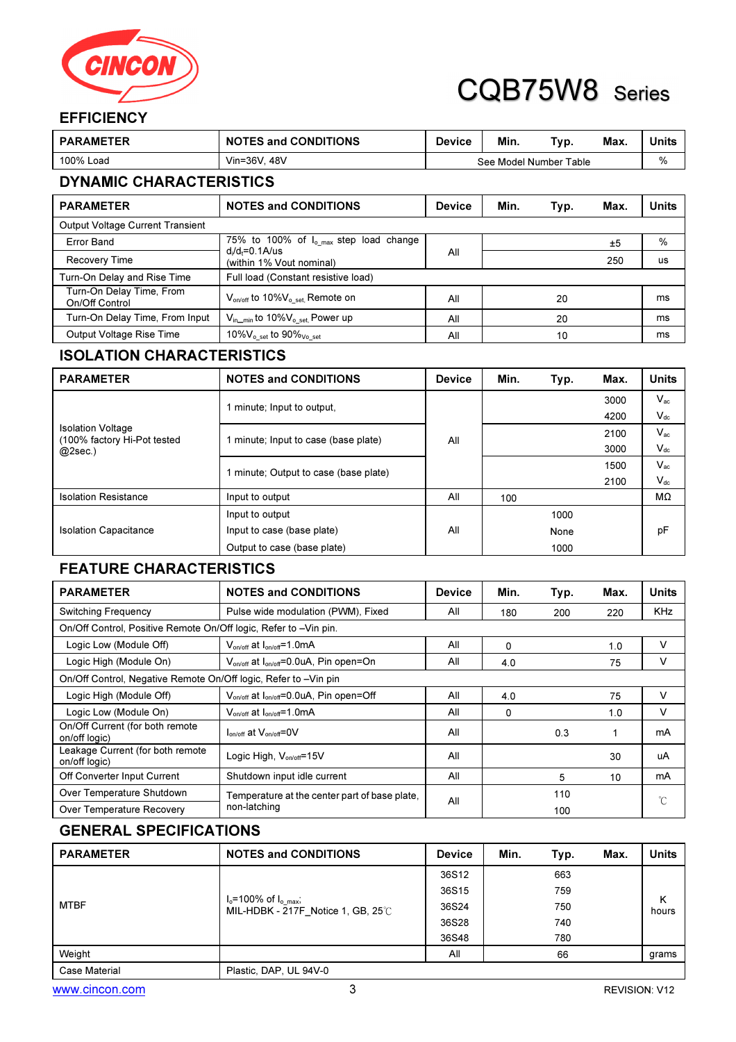

### **EFFICIENCY**

| <b>PARAMETER</b>                           | <b>NOTES and CONDITIONS</b>                               | <b>Device</b> | Min. | Typ.                   | Max. | <b>Units</b> |  |
|--------------------------------------------|-----------------------------------------------------------|---------------|------|------------------------|------|--------------|--|
| 100% Load                                  | Vin=36V, 48V                                              |               |      | See Model Number Table |      | %            |  |
| <b>DYNAMIC CHARACTERISTICS</b>             |                                                           |               |      |                        |      |              |  |
| <b>PARAMETER</b>                           | <b>NOTES and CONDITIONS</b>                               | <b>Device</b> | Min. | Typ.                   | Max. | <b>Units</b> |  |
| <b>Output Voltage Current Transient</b>    |                                                           |               |      |                        |      |              |  |
| <b>Error Band</b>                          | 75% to 100% of $I_{o,max}$ step load change               |               |      |                        | ±5   | %            |  |
| <b>Recovery Time</b>                       | $d/d = 0.1$ A/us<br>(within 1% Vout nominal)              | All           |      |                        | 250  | us           |  |
| Turn-On Delay and Rise Time                | Full load (Constant resistive load)                       |               |      |                        |      |              |  |
| Turn-On Delay Time, From<br>On/Off Control | $V_{\text{on/off}}$ to 10% $V_{\text{o set}}$ , Remote on | All           |      | 20                     |      | ms           |  |
| Turn-On Delay Time, From Input             | $V_{\text{in,min}}$ to 10% $V_{\text{o set}}$ Power up    | All           |      | 20                     |      | ms           |  |
| Output Voltage Rise Time                   | 10% $V_{\text{o}}$ set to 90% $_{\text{Vo}}$ set          | All           |      | 10                     |      | ms           |  |

### ISOLATION CHARACTERISTICS

| <b>PARAMETER</b>                                        | <b>NOTES and CONDITIONS</b>           | <b>Device</b> | Min. | Typ. | Max. | <b>Units</b> |
|---------------------------------------------------------|---------------------------------------|---------------|------|------|------|--------------|
|                                                         | 1 minute; Input to output,            |               |      |      | 3000 | $V_{ac}$     |
|                                                         |                                       |               |      |      | 4200 | $V_{dc}$     |
| <b>Isolation Voltage</b><br>(100% factory Hi-Pot tested | 1 minute; Input to case (base plate)  | All           |      |      | 2100 | $V_{ac}$     |
| $@2sec.$ )                                              |                                       |               |      |      | 3000 | $V_{dc}$     |
|                                                         | 1 minute; Output to case (base plate) |               |      |      | 1500 | $V_{ac}$     |
|                                                         |                                       |               |      |      | 2100 | $V_{dc}$     |
| <b>Isolation Resistance</b>                             | Input to output                       | All           | 100  |      |      | MΩ           |
|                                                         | Input to output                       |               |      | 1000 |      |              |
| <b>Isolation Capacitance</b>                            | Input to case (base plate)            | All           |      | None |      | pF           |
|                                                         | Output to case (base plate)           |               |      | 1000 |      |              |

### FEATURE CHARACTERISTICS

| <b>PARAMETER</b>                                                 | <b>NOTES and CONDITIONS</b>                                     | <b>Device</b> | Min. | Typ. | Max. | <b>Units</b> |  |
|------------------------------------------------------------------|-----------------------------------------------------------------|---------------|------|------|------|--------------|--|
| <b>Switching Frequency</b>                                       | Pulse wide modulation (PWM), Fixed                              | All           | 180  | 200  | 220  | <b>KHz</b>   |  |
| On/Off Control, Positive Remote On/Off logic, Refer to -Vin pin. |                                                                 |               |      |      |      |              |  |
| Logic Low (Module Off)                                           | $V_{on/off}$ at $I_{on/off} = 1.0 \text{mA}$                    | All           | 0    |      | 1.0  | v            |  |
| Logic High (Module On)                                           | $V_{on/off}$ at $I_{on/off} = 0.0 uA$ , Pin open=On             | All           | 4.0  |      | 75   | v            |  |
| On/Off Control, Negative Remote On/Off logic, Refer to -Vin pin  |                                                                 |               |      |      |      |              |  |
| Logic High (Module Off)                                          | V <sub>on/off</sub> at I <sub>on/off</sub> =0.0uA, Pin open=Off | All           | 4.0  |      | 75   | v            |  |
| Logic Low (Module On)                                            | $V_{\text{on/off}}$ at $I_{\text{on/off}}$ =1.0mA               | All           | 0    |      | 1.0  | v            |  |
| On/Off Current (for both remote<br>on/off logic)                 | $I_{on/off}$ at $V_{on-off}$ =0V                                | All           |      | 0.3  | 1    | mA           |  |
| Leakage Current (for both remote<br>on/off logic)                | Logic High, V <sub>on/off</sub> =15V                            | All           |      |      | 30   | uA           |  |
| Off Converter Input Current                                      | Shutdown input idle current                                     | All           |      | 5    | 10   | mA           |  |
| Over Temperature Shutdown                                        | Temperature at the center part of base plate.                   | All           |      | 110  |      | °C           |  |
| Over Temperature Recovery                                        | non-latching                                                    |               | 100  |      |      |              |  |

### GENERAL SPECIFICATIONS

| <b>PARAMETER</b> | <b>NOTES and CONDITIONS</b>                                                     | <b>Device</b> | Min. | Typ. | Max.                 | <b>Units</b> |
|------------------|---------------------------------------------------------------------------------|---------------|------|------|----------------------|--------------|
| <b>MTBF</b>      |                                                                                 | 36S12         |      | 663  |                      |              |
|                  |                                                                                 | 36S15         |      | 759  |                      | κ<br>hours   |
|                  | $I_o$ =100% of $I_o$ $_{max}$ ;<br>MIL-HDBK - 217F Notice 1, GB, $25^{\circ}$ C | 36S24         |      | 750  |                      |              |
|                  |                                                                                 | 36S28         |      | 740  |                      |              |
|                  |                                                                                 | 36S48         |      | 780  |                      |              |
| Weight           |                                                                                 | All           |      | 66   |                      | grams        |
| Case Material    | Plastic, DAP, UL 94V-0                                                          |               |      |      |                      |              |
| www.cincon.com   |                                                                                 |               |      |      | <b>REVISION: V12</b> |              |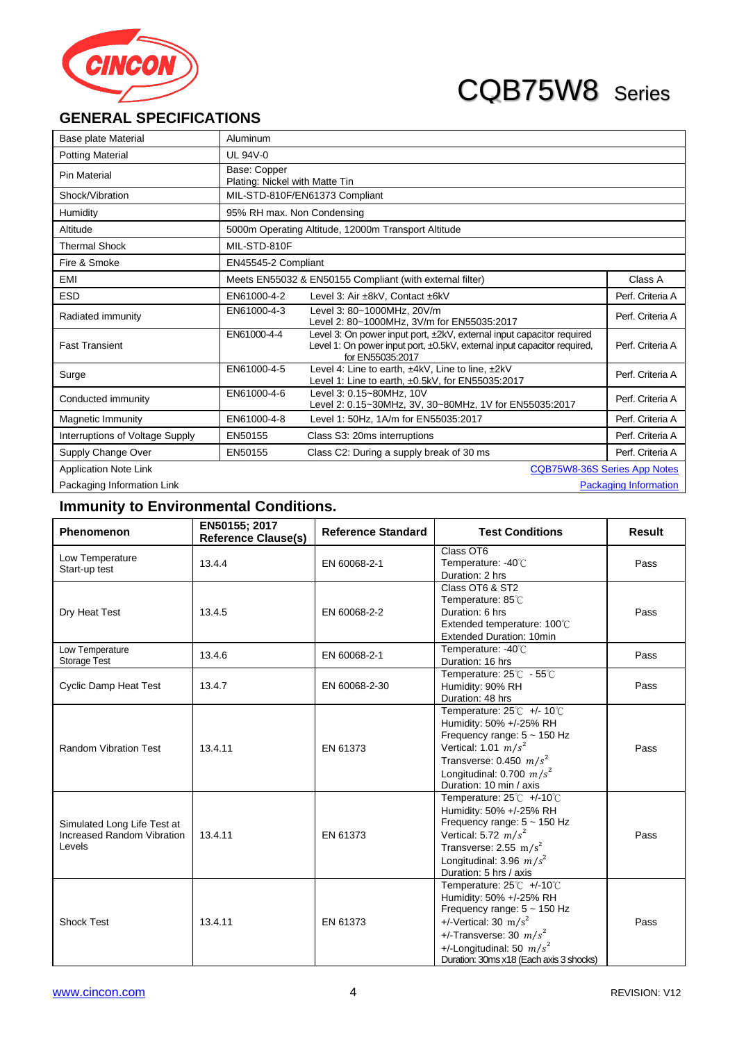

### **GENERAL SPECIFICATIONS**

| <b>Base plate Material</b>      | Aluminum                   |                                                                                                                                                                       |                              |  |  |  |
|---------------------------------|----------------------------|-----------------------------------------------------------------------------------------------------------------------------------------------------------------------|------------------------------|--|--|--|
| <b>Potting Material</b>         | <b>UL 94V-0</b>            |                                                                                                                                                                       |                              |  |  |  |
| <b>Pin Material</b>             | Base: Copper               | Plating: Nickel with Matte Tin                                                                                                                                        |                              |  |  |  |
| Shock/Vibration                 |                            | MIL-STD-810F/EN61373 Compliant                                                                                                                                        |                              |  |  |  |
| Humidity                        | 95% RH max. Non Condensing |                                                                                                                                                                       |                              |  |  |  |
| Altitude                        |                            | 5000m Operating Altitude, 12000m Transport Altitude                                                                                                                   |                              |  |  |  |
| <b>Thermal Shock</b>            | MIL-STD-810F               |                                                                                                                                                                       |                              |  |  |  |
| Fire & Smoke                    | EN45545-2 Compliant        |                                                                                                                                                                       |                              |  |  |  |
| <b>EMI</b>                      |                            | Meets EN55032 & EN50155 Compliant (with external filter)                                                                                                              | Class A                      |  |  |  |
| <b>ESD</b>                      | FN61000-4-2                | Level 3: Air ±8kV, Contact ±6kV                                                                                                                                       | Perf. Criteria A             |  |  |  |
| Radiated immunity               | EN61000-4-3                | Level 3: 80~1000MHz, 20V/m<br>Level 2: 80~1000MHz, 3V/m for EN55035:2017                                                                                              | Perf. Criteria A             |  |  |  |
| <b>Fast Transient</b>           | EN61000-4-4                | Level 3: On power input port, ±2kV, external input capacitor required<br>Level 1: On power input port, ±0.5kV, external input capacitor required,<br>for EN55035:2017 | Perf. Criteria A             |  |  |  |
| Surge                           | EN61000-4-5                | Level 4: Line to earth, ±4kV, Line to line, ±2kV<br>Level 1: Line to earth, ±0.5kV, for EN55035:2017                                                                  | Perf. Criteria A             |  |  |  |
| Conducted immunity              | EN61000-4-6                | Level 3: 0.15~80MHz, 10V<br>Level 2: 0.15~30MHz, 3V, 30~80MHz, 1V for EN55035:2017                                                                                    | Perf. Criteria A             |  |  |  |
| Magnetic Immunity               | EN61000-4-8                | Level 1: 50Hz, 1A/m for EN55035:2017                                                                                                                                  | Perf. Criteria A             |  |  |  |
| Interruptions of Voltage Supply | EN50155                    | Class S3: 20ms interruptions                                                                                                                                          | Perf. Criteria A             |  |  |  |
| Supply Change Over              | EN50155                    | Class C2: During a supply break of 30 ms                                                                                                                              | Perf. Criteria A             |  |  |  |
| <b>Application Note Link</b>    |                            | <b>CQB75W8-36S Series App Notes</b>                                                                                                                                   |                              |  |  |  |
| Packaging Information Link      |                            |                                                                                                                                                                       | <b>Packaging Information</b> |  |  |  |

### **Immunity to Environmental Conditions.**

| Phenomenon                                                          | EN50155; 2017<br><b>Reference Clause(s)</b>                                                                                                                                                                                             | <b>Reference Standard</b> | <b>Test Conditions</b>                                                                                                                                                                                                          | <b>Result</b> |
|---------------------------------------------------------------------|-----------------------------------------------------------------------------------------------------------------------------------------------------------------------------------------------------------------------------------------|---------------------------|---------------------------------------------------------------------------------------------------------------------------------------------------------------------------------------------------------------------------------|---------------|
| Low Temperature<br>Start-up test                                    | 13.4.4                                                                                                                                                                                                                                  | EN 60068-2-1              | Class OT6<br>Temperature: -40°C<br>Duration: 2 hrs                                                                                                                                                                              | Pass          |
| Dry Heat Test                                                       | 13.4.5                                                                                                                                                                                                                                  | EN 60068-2-2              | Class OT6 & ST2<br>Temperature: 85℃<br>Duration: 6 hrs<br>Extended temperature: 100°C<br><b>Extended Duration: 10min</b>                                                                                                        | Pass          |
| Low Temperature<br><b>Storage Test</b>                              | 13.4.6                                                                                                                                                                                                                                  | EN 60068-2-1              | Temperature: -40°C<br>Duration: 16 hrs                                                                                                                                                                                          | Pass          |
| <b>Cyclic Damp Heat Test</b>                                        | 13.4.7                                                                                                                                                                                                                                  | EN 60068-2-30             | Temperature: 25℃ - 55℃<br>Humidity: 90% RH<br>Duration: 48 hrs                                                                                                                                                                  | Pass          |
| <b>Random Vibration Test</b>                                        | 13.4.11                                                                                                                                                                                                                                 | EN 61373                  | Temperature: $25^{\circ}$ C +/- 10 $^{\circ}$ C<br>Humidity: 50% +/-25% RH<br>Frequency range: $5 \sim 150$ Hz<br>Vertical: 1.01 $m/s^2$<br>Transverse: 0.450 $m/s^2$<br>Longitudinal: 0.700 $m/s^2$<br>Duration: 10 min / axis | Pass          |
| Simulated Long Life Test at<br>Increased Random Vibration<br>Levels | 13.4.11                                                                                                                                                                                                                                 | EN 61373                  | Temperature: $25^{\circ}$ C +/-10 $^{\circ}$ C<br>Humidity: 50% +/-25% RH<br>Frequency range: 5 ~ 150 Hz<br>Vertical: 5.72 $m/s^2$<br>Transverse: 2.55 m/s <sup>2</sup><br>Longitudinal: 3.96 $m/s^2$<br>Duration: 5 hrs / axis | Pass          |
| <b>Shock Test</b>                                                   | Temperature: $25^{\circ}$ C +/-10 $^{\circ}$ C<br>Humidity: 50% +/-25% RH<br>Frequency range: $5 \sim 150$ Hz<br>$+/-V$ ertical: 30 m/s <sup>2</sup><br>EN 61373<br>13.4.11<br>+/-Transverse: 30 $m/s^2$<br>+/-Longitudinal: 50 $m/s^2$ |                           | Duration: 30ms x18 (Each axis 3 shocks)                                                                                                                                                                                         | Pass          |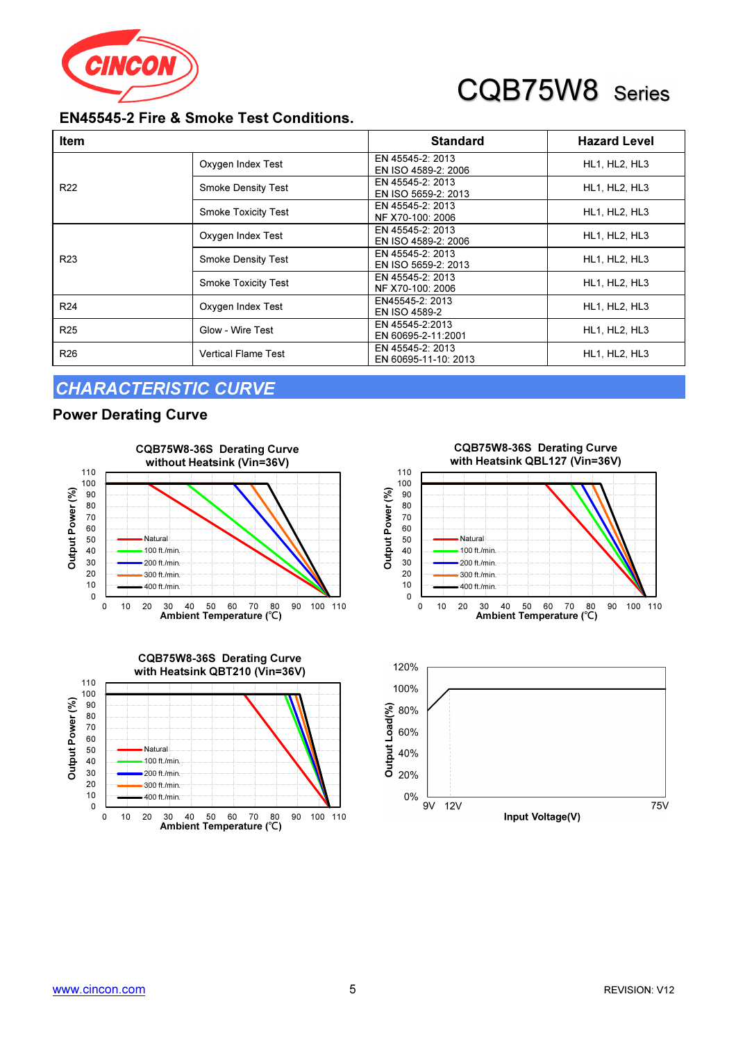

### EN45545-2 Fire & Smoke Test Conditions.

| <b>Item</b>     |                            | <b>Standard</b>                          | <b>Hazard Level</b>  |
|-----------------|----------------------------|------------------------------------------|----------------------|
|                 | Oxygen Index Test          | EN 45545-2: 2013<br>EN ISO 4589-2: 2006  | HL1, HL2, HL3        |
| R <sub>22</sub> | <b>Smoke Density Test</b>  | EN 45545-2: 2013<br>EN ISO 5659-2: 2013  | HL1, HL2, HL3        |
|                 | <b>Smoke Toxicity Test</b> | EN 45545-2: 2013<br>NF X70-100: 2006     | <b>HL1, HL2, HL3</b> |
|                 | Oxygen Index Test          | EN 45545-2: 2013<br>EN ISO 4589-2: 2006  | HL1, HL2, HL3        |
| R <sub>23</sub> | <b>Smoke Density Test</b>  | EN 45545-2: 2013<br>EN ISO 5659-2: 2013  | HL1, HL2, HL3        |
|                 | <b>Smoke Toxicity Test</b> | EN 45545-2: 2013<br>NF X70-100: 2006     | HL1, HL2, HL3        |
| R <sub>24</sub> | Oxygen Index Test          | EN45545-2: 2013<br><b>EN ISO 4589-2</b>  | HL1, HL2, HL3        |
| R <sub>25</sub> | Glow - Wire Test           | EN 45545-2:2013<br>EN 60695-2-11:2001    | HL1, HL2, HL3        |
| R <sub>26</sub> | <b>Vertical Flame Test</b> | EN 45545-2: 2013<br>EN 60695-11-10: 2013 | HL1, HL2, HL3        |

Output Power (%)

Output Power (%)

### CHARACTERISTIC CURVE

#### Power Derating Curve





0 10 20 30  $40$ 50 60 70 80  $90$ 100 110 0 10 20 30 40 50 60 70 80 90 100 110 Ambient Temperature (℃) CQB75W8-36S Derating Curve with Heatsink QBL127 (Vin=36V) **Natural** 100 ft./min. 200 ft./min. 300 ft./min. 400 ft./min.

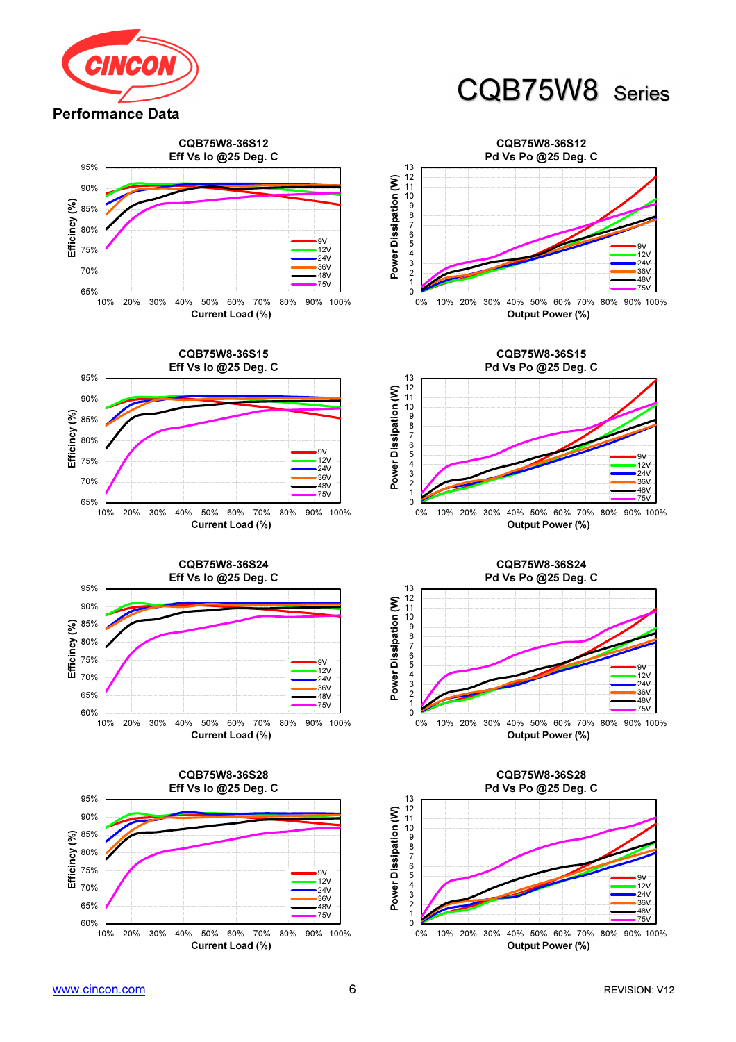